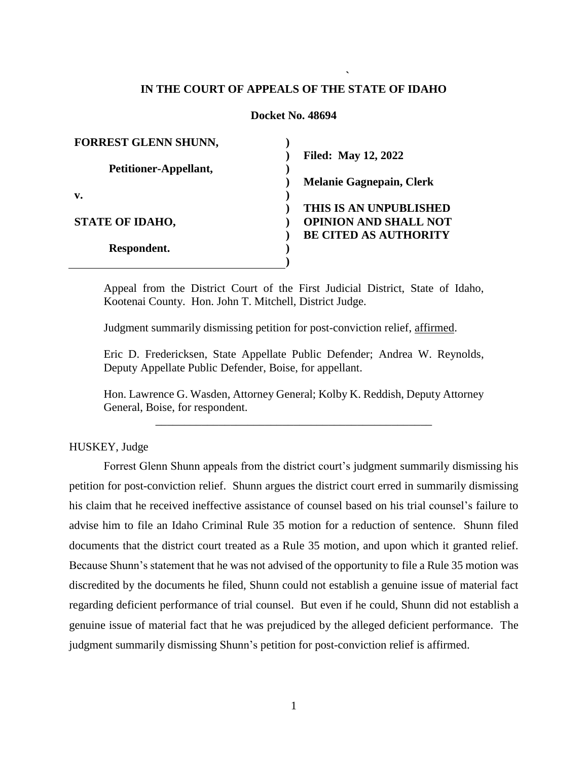## **IN THE COURT OF APPEALS OF THE STATE OF IDAHO**

**`**

#### **Docket No. 48694**

| FORREST GLENN SHUNN,   |                                 |
|------------------------|---------------------------------|
|                        | <b>Filed: May 12, 2022</b>      |
| Petitioner-Appellant,  |                                 |
|                        | <b>Melanie Gagnepain, Clerk</b> |
| v.                     |                                 |
|                        | THIS IS AN UNPUBLISHED          |
| <b>STATE OF IDAHO,</b> | <b>OPINION AND SHALL NOT</b>    |
|                        | <b>BE CITED AS AUTHORITY</b>    |
| Respondent.            |                                 |
|                        |                                 |

Appeal from the District Court of the First Judicial District, State of Idaho, Kootenai County. Hon. John T. Mitchell, District Judge.

Judgment summarily dismissing petition for post-conviction relief, affirmed.

Eric D. Fredericksen, State Appellate Public Defender; Andrea W. Reynolds, Deputy Appellate Public Defender, Boise, for appellant.

Hon. Lawrence G. Wasden, Attorney General; Kolby K. Reddish, Deputy Attorney General, Boise, for respondent. \_\_\_\_\_\_\_\_\_\_\_\_\_\_\_\_\_\_\_\_\_\_\_\_\_\_\_\_\_\_\_\_\_\_\_\_\_\_\_\_\_\_\_\_\_\_\_\_

HUSKEY, Judge

Forrest Glenn Shunn appeals from the district court's judgment summarily dismissing his petition for post-conviction relief. Shunn argues the district court erred in summarily dismissing his claim that he received ineffective assistance of counsel based on his trial counsel's failure to advise him to file an Idaho Criminal Rule 35 motion for a reduction of sentence. Shunn filed documents that the district court treated as a Rule 35 motion, and upon which it granted relief. Because Shunn's statement that he was not advised of the opportunity to file a Rule 35 motion was discredited by the documents he filed, Shunn could not establish a genuine issue of material fact regarding deficient performance of trial counsel. But even if he could, Shunn did not establish a genuine issue of material fact that he was prejudiced by the alleged deficient performance. The judgment summarily dismissing Shunn's petition for post-conviction relief is affirmed.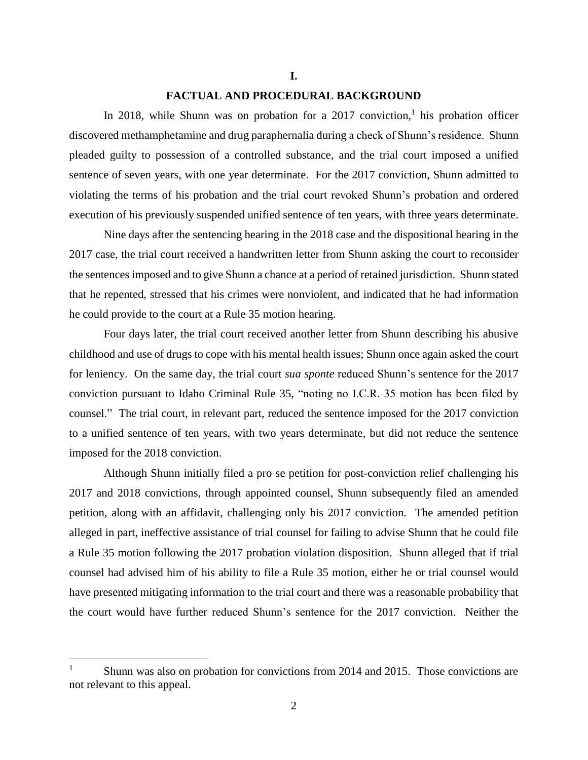#### **I.**

### **FACTUAL AND PROCEDURAL BACKGROUND**

In 2018, while Shunn was on probation for a 2017 conviction,<sup>1</sup> his probation officer discovered methamphetamine and drug paraphernalia during a check of Shunn's residence. Shunn pleaded guilty to possession of a controlled substance, and the trial court imposed a unified sentence of seven years, with one year determinate. For the 2017 conviction, Shunn admitted to violating the terms of his probation and the trial court revoked Shunn's probation and ordered execution of his previously suspended unified sentence of ten years, with three years determinate.

Nine days after the sentencing hearing in the 2018 case and the dispositional hearing in the 2017 case, the trial court received a handwritten letter from Shunn asking the court to reconsider the sentences imposed and to give Shunn a chance at a period of retained jurisdiction. Shunn stated that he repented, stressed that his crimes were nonviolent, and indicated that he had information he could provide to the court at a Rule 35 motion hearing.

Four days later, the trial court received another letter from Shunn describing his abusive childhood and use of drugs to cope with his mental health issues; Shunn once again asked the court for leniency. On the same day, the trial court *sua sponte* reduced Shunn's sentence for the 2017 conviction pursuant to Idaho Criminal Rule 35, "noting no I.C.R. 35 motion has been filed by counsel." The trial court, in relevant part, reduced the sentence imposed for the 2017 conviction to a unified sentence of ten years, with two years determinate, but did not reduce the sentence imposed for the 2018 conviction.

Although Shunn initially filed a pro se petition for post-conviction relief challenging his 2017 and 2018 convictions, through appointed counsel, Shunn subsequently filed an amended petition, along with an affidavit, challenging only his 2017 conviction. The amended petition alleged in part, ineffective assistance of trial counsel for failing to advise Shunn that he could file a Rule 35 motion following the 2017 probation violation disposition. Shunn alleged that if trial counsel had advised him of his ability to file a Rule 35 motion, either he or trial counsel would have presented mitigating information to the trial court and there was a reasonable probability that the court would have further reduced Shunn's sentence for the 2017 conviction. Neither the

 $\overline{a}$ 

Shunn was also on probation for convictions from 2014 and 2015. Those convictions are not relevant to this appeal.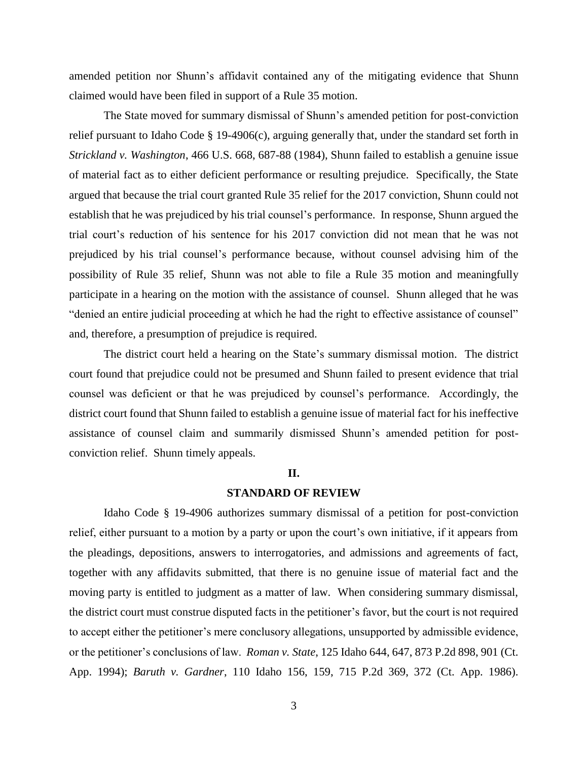amended petition nor Shunn's affidavit contained any of the mitigating evidence that Shunn claimed would have been filed in support of a Rule 35 motion.

The State moved for summary dismissal of Shunn's amended petition for post-conviction relief pursuant to Idaho Code § 19-4906(c), arguing generally that, under the standard set forth in *Strickland v. Washington*, 466 U.S. 668, 687-88 (1984), Shunn failed to establish a genuine issue of material fact as to either deficient performance or resulting prejudice. Specifically, the State argued that because the trial court granted Rule 35 relief for the 2017 conviction, Shunn could not establish that he was prejudiced by his trial counsel's performance. In response, Shunn argued the trial court's reduction of his sentence for his 2017 conviction did not mean that he was not prejudiced by his trial counsel's performance because, without counsel advising him of the possibility of Rule 35 relief, Shunn was not able to file a Rule 35 motion and meaningfully participate in a hearing on the motion with the assistance of counsel. Shunn alleged that he was "denied an entire judicial proceeding at which he had the right to effective assistance of counsel" and, therefore, a presumption of prejudice is required.

The district court held a hearing on the State's summary dismissal motion. The district court found that prejudice could not be presumed and Shunn failed to present evidence that trial counsel was deficient or that he was prejudiced by counsel's performance. Accordingly, the district court found that Shunn failed to establish a genuine issue of material fact for his ineffective assistance of counsel claim and summarily dismissed Shunn's amended petition for postconviction relief. Shunn timely appeals.

#### **II.**

## **STANDARD OF REVIEW**

Idaho Code § 19-4906 authorizes summary dismissal of a petition for post-conviction relief, either pursuant to a motion by a party or upon the court's own initiative, if it appears from the pleadings, depositions, answers to interrogatories, and admissions and agreements of fact, together with any affidavits submitted, that there is no genuine issue of material fact and the moving party is entitled to judgment as a matter of law. When considering summary dismissal, the district court must construe disputed facts in the petitioner's favor, but the court is not required to accept either the petitioner's mere conclusory allegations, unsupported by admissible evidence, or the petitioner's conclusions of law. *Roman v. State*, 125 Idaho 644, 647, 873 P.2d 898, 901 (Ct. App. 1994); *Baruth v. Gardner*, 110 Idaho 156, 159, 715 P.2d 369, 372 (Ct. App. 1986).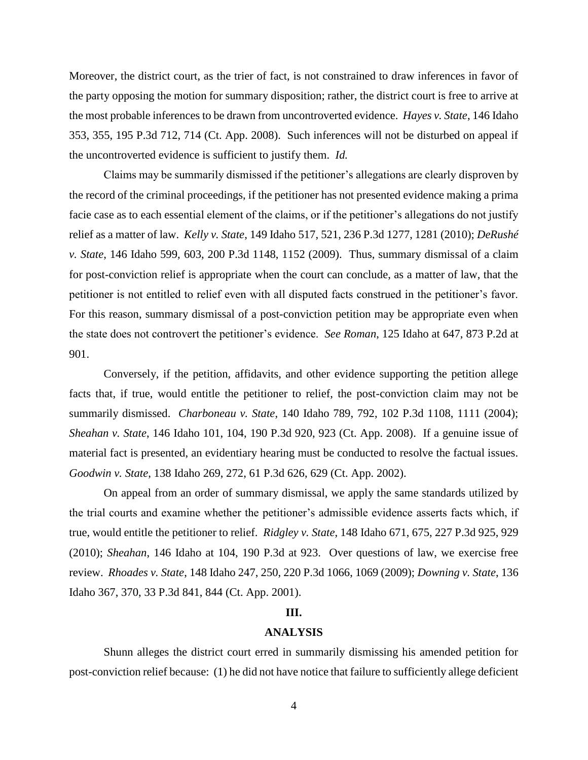Moreover, the district court, as the trier of fact, is not constrained to draw inferences in favor of the party opposing the motion for summary disposition; rather, the district court is free to arrive at the most probable inferences to be drawn from uncontroverted evidence. *Hayes v. State*, 146 Idaho 353, 355, 195 P.3d 712, 714 (Ct. App. 2008). Such inferences will not be disturbed on appeal if the uncontroverted evidence is sufficient to justify them. *Id.*

Claims may be summarily dismissed if the petitioner's allegations are clearly disproven by the record of the criminal proceedings, if the petitioner has not presented evidence making a prima facie case as to each essential element of the claims, or if the petitioner's allegations do not justify relief as a matter of law. *Kelly v. State*, 149 Idaho 517, 521, 236 P.3d 1277, 1281 (2010); *DeRushé v. State*, 146 Idaho 599, 603, 200 P.3d 1148, 1152 (2009). Thus, summary dismissal of a claim for post-conviction relief is appropriate when the court can conclude, as a matter of law, that the petitioner is not entitled to relief even with all disputed facts construed in the petitioner's favor. For this reason, summary dismissal of a post-conviction petition may be appropriate even when the state does not controvert the petitioner's evidence. *See Roman*, 125 Idaho at 647, 873 P.2d at 901.

Conversely, if the petition, affidavits, and other evidence supporting the petition allege facts that, if true, would entitle the petitioner to relief, the post-conviction claim may not be summarily dismissed. *Charboneau v. State*, 140 Idaho 789, 792, 102 P.3d 1108, 1111 (2004); *Sheahan v. State*, 146 Idaho 101, 104, 190 P.3d 920, 923 (Ct. App. 2008). If a genuine issue of material fact is presented, an evidentiary hearing must be conducted to resolve the factual issues. *Goodwin v. State*, 138 Idaho 269, 272, 61 P.3d 626, 629 (Ct. App. 2002).

On appeal from an order of summary dismissal, we apply the same standards utilized by the trial courts and examine whether the petitioner's admissible evidence asserts facts which, if true, would entitle the petitioner to relief. *Ridgley v. State*, 148 Idaho 671, 675, 227 P.3d 925, 929 (2010); *Sheahan*, 146 Idaho at 104, 190 P.3d at 923. Over questions of law, we exercise free review. *Rhoades v. State*, 148 Idaho 247, 250, 220 P.3d 1066, 1069 (2009); *Downing v. State*, 136 Idaho 367, 370, 33 P.3d 841, 844 (Ct. App. 2001).

### **III.**

### **ANALYSIS**

Shunn alleges the district court erred in summarily dismissing his amended petition for post-conviction relief because: (1) he did not have notice that failure to sufficiently allege deficient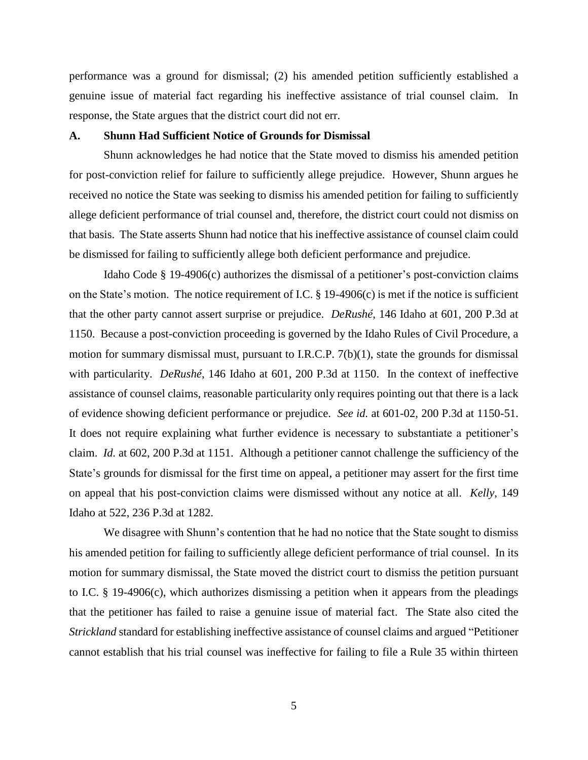performance was a ground for dismissal; (2) his amended petition sufficiently established a genuine issue of material fact regarding his ineffective assistance of trial counsel claim. In response, the State argues that the district court did not err.

#### **A. Shunn Had Sufficient Notice of Grounds for Dismissal**

Shunn acknowledges he had notice that the State moved to dismiss his amended petition for post-conviction relief for failure to sufficiently allege prejudice. However, Shunn argues he received no notice the State was seeking to dismiss his amended petition for failing to sufficiently allege deficient performance of trial counsel and, therefore, the district court could not dismiss on that basis. The State asserts Shunn had notice that his ineffective assistance of counsel claim could be dismissed for failing to sufficiently allege both deficient performance and prejudice.

Idaho Code § 19-4906(c) authorizes the dismissal of a petitioner's post-conviction claims on the State's motion. The notice requirement of I.C.  $\S$  19-4906(c) is met if the notice is sufficient that the other party cannot assert surprise or prejudice. *DeRushé*, 146 Idaho at 601, 200 P.3d at 1150. Because a post-conviction proceeding is governed by the Idaho Rules of Civil Procedure, a motion for summary dismissal must, pursuant to I.R.C.P. 7(b)(1), state the grounds for dismissal with particularity. *DeRushé*, 146 Idaho at 601, 200 P.3d at 1150. In the context of ineffective assistance of counsel claims, reasonable particularity only requires pointing out that there is a lack of evidence showing deficient performance or prejudice. *See id.* at 601-02, 200 P.3d at 1150-51. It does not require explaining what further evidence is necessary to substantiate a petitioner's claim. *Id.* at 602, 200 P.3d at 1151. Although a petitioner cannot challenge the sufficiency of the State's grounds for dismissal for the first time on appeal, a petitioner may assert for the first time on appeal that his post-conviction claims were dismissed without any notice at all. *Kelly*, 149 Idaho at 522, 236 P.3d at 1282.

We disagree with Shunn's contention that he had no notice that the State sought to dismiss his amended petition for failing to sufficiently allege deficient performance of trial counsel. In its motion for summary dismissal, the State moved the district court to dismiss the petition pursuant to I.C. § 19-4906(c), which authorizes dismissing a petition when it appears from the pleadings that the petitioner has failed to raise a genuine issue of material fact. The State also cited the *Strickland* standard for establishing ineffective assistance of counsel claims and argued "Petitioner cannot establish that his trial counsel was ineffective for failing to file a Rule 35 within thirteen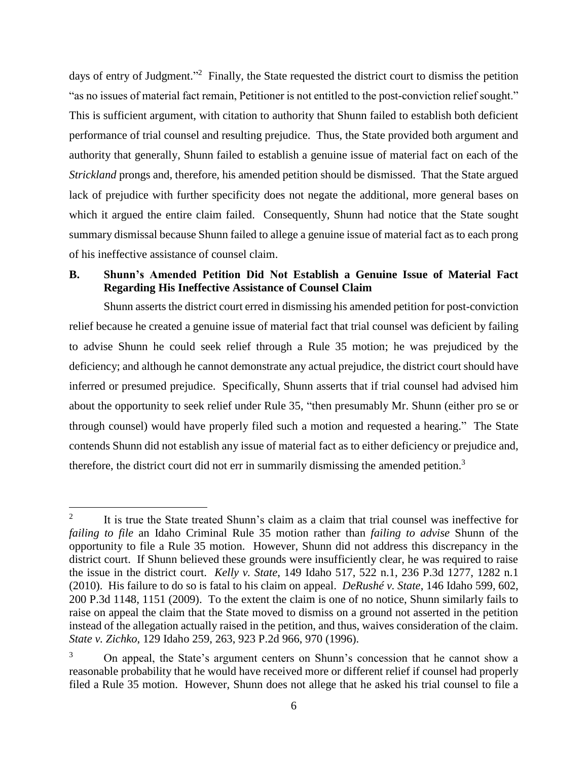days of entry of Judgment."<sup>2</sup> Finally, the State requested the district court to dismiss the petition "as no issues of material fact remain, Petitioner is not entitled to the post-conviction relief sought." This is sufficient argument, with citation to authority that Shunn failed to establish both deficient performance of trial counsel and resulting prejudice. Thus, the State provided both argument and authority that generally, Shunn failed to establish a genuine issue of material fact on each of the *Strickland* prongs and, therefore, his amended petition should be dismissed. That the State argued lack of prejudice with further specificity does not negate the additional, more general bases on which it argued the entire claim failed. Consequently, Shunn had notice that the State sought summary dismissal because Shunn failed to allege a genuine issue of material fact as to each prong of his ineffective assistance of counsel claim.

# **B. Shunn's Amended Petition Did Not Establish a Genuine Issue of Material Fact Regarding His Ineffective Assistance of Counsel Claim**

Shunn asserts the district court erred in dismissing his amended petition for post-conviction relief because he created a genuine issue of material fact that trial counsel was deficient by failing to advise Shunn he could seek relief through a Rule 35 motion; he was prejudiced by the deficiency; and although he cannot demonstrate any actual prejudice, the district court should have inferred or presumed prejudice. Specifically, Shunn asserts that if trial counsel had advised him about the opportunity to seek relief under Rule 35, "then presumably Mr. Shunn (either pro se or through counsel) would have properly filed such a motion and requested a hearing." The State contends Shunn did not establish any issue of material fact as to either deficiency or prejudice and, therefore, the district court did not err in summarily dismissing the amended petition.<sup>3</sup>

 $\overline{a}$ 

<sup>2</sup> It is true the State treated Shunn's claim as a claim that trial counsel was ineffective for *failing to file* an Idaho Criminal Rule 35 motion rather than *failing to advise* Shunn of the opportunity to file a Rule 35 motion. However, Shunn did not address this discrepancy in the district court. If Shunn believed these grounds were insufficiently clear, he was required to raise the issue in the district court. *Kelly v. State*, 149 Idaho 517, 522 n.1, 236 P.3d 1277, 1282 n.1 (2010). His failure to do so is fatal to his claim on appeal. *DeRushé v. State*, 146 Idaho 599, 602, 200 P.3d 1148, 1151 (2009). To the extent the claim is one of no notice, Shunn similarly fails to raise on appeal the claim that the State moved to dismiss on a ground not asserted in the petition instead of the allegation actually raised in the petition, and thus, waives consideration of the claim. *State v. Zichko*, 129 Idaho 259, 263, 923 P.2d 966, 970 (1996).

<sup>&</sup>lt;sup>3</sup> On appeal, the State's argument centers on Shunn's concession that he cannot show a reasonable probability that he would have received more or different relief if counsel had properly filed a Rule 35 motion. However, Shunn does not allege that he asked his trial counsel to file a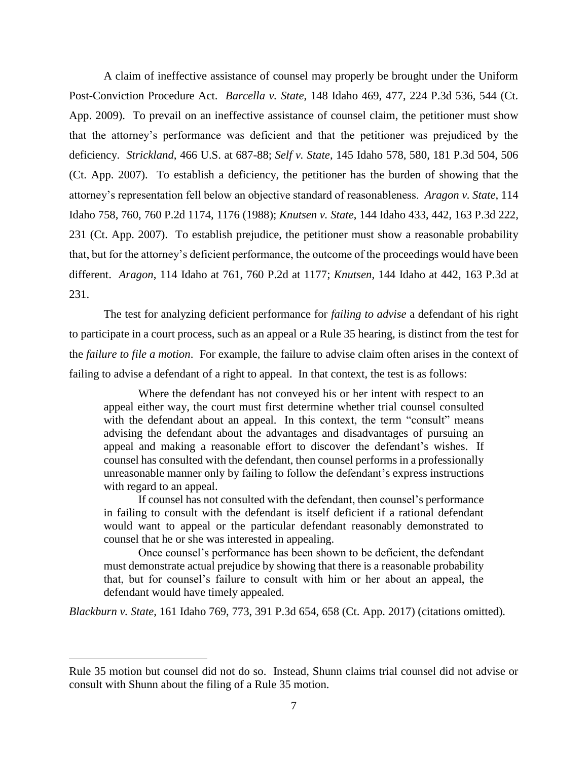A claim of ineffective assistance of counsel may properly be brought under the Uniform Post-Conviction Procedure Act. *Barcella v. State*, 148 Idaho 469, 477, 224 P.3d 536, 544 (Ct. App. 2009). To prevail on an ineffective assistance of counsel claim, the petitioner must show that the attorney's performance was deficient and that the petitioner was prejudiced by the deficiency. *Strickland*, 466 U.S. at 687-88; *Self v. State*, 145 Idaho 578, 580, 181 P.3d 504, 506 (Ct. App. 2007). To establish a deficiency, the petitioner has the burden of showing that the attorney's representation fell below an objective standard of reasonableness. *Aragon v. State*, 114 Idaho 758, 760, 760 P.2d 1174, 1176 (1988); *Knutsen v. State*, 144 Idaho 433, 442, 163 P.3d 222, 231 (Ct. App. 2007). To establish prejudice, the petitioner must show a reasonable probability that, but for the attorney's deficient performance, the outcome of the proceedings would have been different. *Aragon*, 114 Idaho at 761, 760 P.2d at 1177; *Knutsen*, 144 Idaho at 442, 163 P.3d at 231.

The test for analyzing deficient performance for *failing to advise* a defendant of his right to participate in a court process, such as an appeal or a Rule 35 hearing, is distinct from the test for the *failure to file a motion*. For example, the failure to advise claim often arises in the context of failing to advise a defendant of a right to appeal. In that context, the test is as follows:

Where the defendant has not conveyed his or her intent with respect to an appeal either way, the court must first determine whether trial counsel consulted with the defendant about an appeal. In this context, the term "consult" means advising the defendant about the advantages and disadvantages of pursuing an appeal and making a reasonable effort to discover the defendant's wishes. If counsel has consulted with the defendant, then counsel performs in a professionally unreasonable manner only by failing to follow the defendant's express instructions with regard to an appeal.

If counsel has not consulted with the defendant, then counsel's performance in failing to consult with the defendant is itself deficient if a rational defendant would want to appeal or the particular defendant reasonably demonstrated to counsel that he or she was interested in appealing.

Once counsel's performance has been shown to be deficient, the defendant must demonstrate actual prejudice by showing that there is a reasonable probability that, but for counsel's failure to consult with him or her about an appeal, the defendant would have timely appealed.

*Blackburn v. State*, 161 Idaho 769, 773, 391 P.3d 654, 658 (Ct. App. 2017) (citations omitted)*.*

 $\overline{a}$ 

Rule 35 motion but counsel did not do so. Instead, Shunn claims trial counsel did not advise or consult with Shunn about the filing of a Rule 35 motion.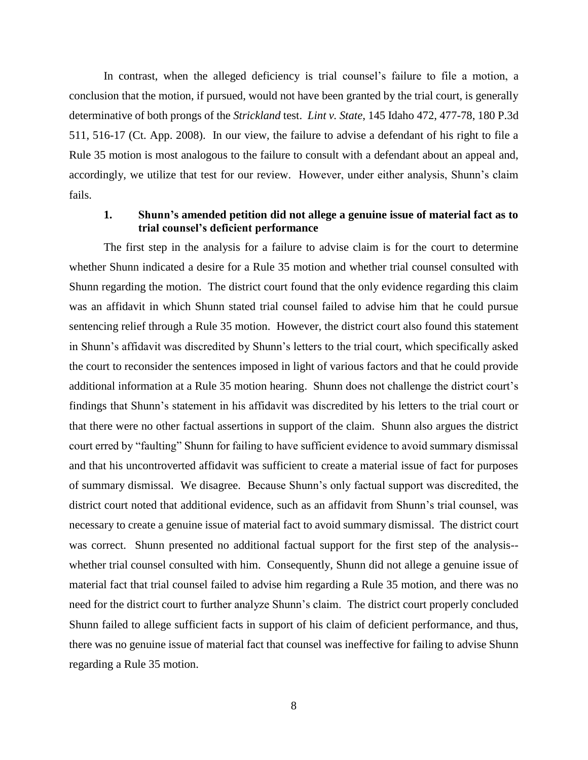In contrast, when the alleged deficiency is trial counsel's failure to file a motion, a conclusion that the motion, if pursued, would not have been granted by the trial court, is generally determinative of both prongs of the *Strickland* test. *Lint v. State*, 145 Idaho 472, 477-78, 180 P.3d 511, 516-17 (Ct. App. 2008). In our view, the failure to advise a defendant of his right to file a Rule 35 motion is most analogous to the failure to consult with a defendant about an appeal and, accordingly, we utilize that test for our review. However, under either analysis, Shunn's claim fails.

### **1. Shunn's amended petition did not allege a genuine issue of material fact as to trial counsel's deficient performance**

The first step in the analysis for a failure to advise claim is for the court to determine whether Shunn indicated a desire for a Rule 35 motion and whether trial counsel consulted with Shunn regarding the motion. The district court found that the only evidence regarding this claim was an affidavit in which Shunn stated trial counsel failed to advise him that he could pursue sentencing relief through a Rule 35 motion. However, the district court also found this statement in Shunn's affidavit was discredited by Shunn's letters to the trial court, which specifically asked the court to reconsider the sentences imposed in light of various factors and that he could provide additional information at a Rule 35 motion hearing. Shunn does not challenge the district court's findings that Shunn's statement in his affidavit was discredited by his letters to the trial court or that there were no other factual assertions in support of the claim. Shunn also argues the district court erred by "faulting" Shunn for failing to have sufficient evidence to avoid summary dismissal and that his uncontroverted affidavit was sufficient to create a material issue of fact for purposes of summary dismissal. We disagree. Because Shunn's only factual support was discredited, the district court noted that additional evidence, such as an affidavit from Shunn's trial counsel, was necessary to create a genuine issue of material fact to avoid summary dismissal. The district court was correct. Shunn presented no additional factual support for the first step of the analysis- whether trial counsel consulted with him. Consequently, Shunn did not allege a genuine issue of material fact that trial counsel failed to advise him regarding a Rule 35 motion, and there was no need for the district court to further analyze Shunn's claim. The district court properly concluded Shunn failed to allege sufficient facts in support of his claim of deficient performance, and thus, there was no genuine issue of material fact that counsel was ineffective for failing to advise Shunn regarding a Rule 35 motion.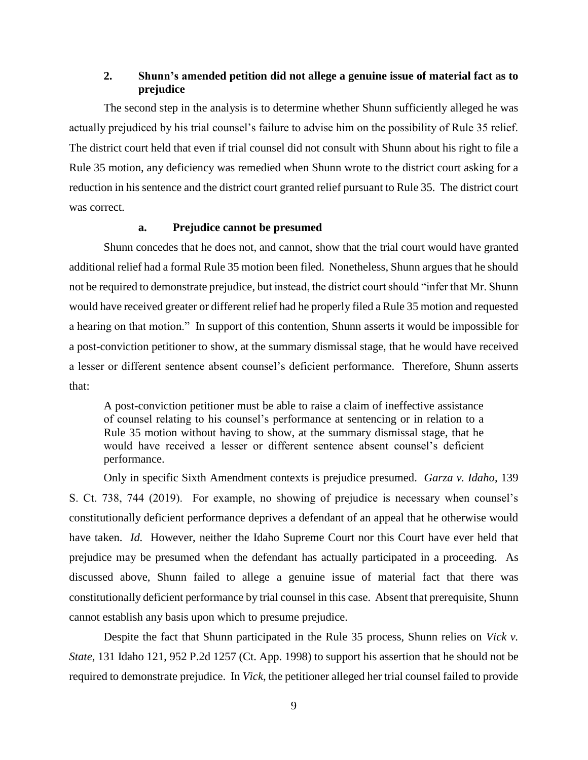# **2. Shunn's amended petition did not allege a genuine issue of material fact as to prejudice**

The second step in the analysis is to determine whether Shunn sufficiently alleged he was actually prejudiced by his trial counsel's failure to advise him on the possibility of Rule 35 relief. The district court held that even if trial counsel did not consult with Shunn about his right to file a Rule 35 motion, any deficiency was remedied when Shunn wrote to the district court asking for a reduction in his sentence and the district court granted relief pursuant to Rule 35. The district court was correct.

### **a. Prejudice cannot be presumed**

Shunn concedes that he does not, and cannot, show that the trial court would have granted additional relief had a formal Rule 35 motion been filed. Nonetheless, Shunn argues that he should not be required to demonstrate prejudice, but instead, the district court should "infer that Mr. Shunn would have received greater or different relief had he properly filed a Rule 35 motion and requested a hearing on that motion." In support of this contention, Shunn asserts it would be impossible for a post-conviction petitioner to show, at the summary dismissal stage, that he would have received a lesser or different sentence absent counsel's deficient performance. Therefore, Shunn asserts that:

A post-conviction petitioner must be able to raise a claim of ineffective assistance of counsel relating to his counsel's performance at sentencing or in relation to a Rule 35 motion without having to show, at the summary dismissal stage, that he would have received a lesser or different sentence absent counsel's deficient performance.

Only in specific Sixth Amendment contexts is prejudice presumed. *Garza v. Idaho*, 139 S. Ct. 738, 744 (2019). For example, no showing of prejudice is necessary when counsel's constitutionally deficient performance deprives a defendant of an appeal that he otherwise would have taken. *Id.* However, neither the Idaho Supreme Court nor this Court have ever held that prejudice may be presumed when the defendant has actually participated in a proceeding. As discussed above, Shunn failed to allege a genuine issue of material fact that there was constitutionally deficient performance by trial counsel in this case. Absent that prerequisite, Shunn cannot establish any basis upon which to presume prejudice.

Despite the fact that Shunn participated in the Rule 35 process, Shunn relies on *Vick v. State*, 131 Idaho 121, 952 P.2d 1257 (Ct. App. 1998) to support his assertion that he should not be required to demonstrate prejudice. In *Vick*, the petitioner alleged her trial counsel failed to provide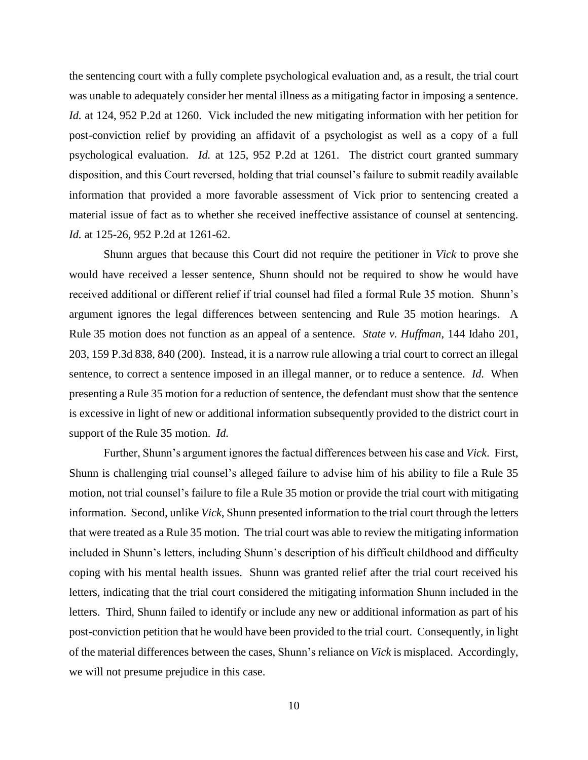the sentencing court with a fully complete psychological evaluation and, as a result, the trial court was unable to adequately consider her mental illness as a mitigating factor in imposing a sentence. *Id.* at 124, 952 P.2d at 1260. Vick included the new mitigating information with her petition for post-conviction relief by providing an affidavit of a psychologist as well as a copy of a full psychological evaluation. *Id.* at 125, 952 P.2d at 1261. The district court granted summary disposition, and this Court reversed, holding that trial counsel's failure to submit readily available information that provided a more favorable assessment of Vick prior to sentencing created a material issue of fact as to whether she received ineffective assistance of counsel at sentencing. *Id.* at 125-26, 952 P.2d at 1261-62.

Shunn argues that because this Court did not require the petitioner in *Vick* to prove she would have received a lesser sentence, Shunn should not be required to show he would have received additional or different relief if trial counsel had filed a formal Rule 35 motion. Shunn's argument ignores the legal differences between sentencing and Rule 35 motion hearings. A Rule 35 motion does not function as an appeal of a sentence. *State v. Huffman*, 144 Idaho 201, 203, 159 P.3d 838, 840 (200). Instead, it is a narrow rule allowing a trial court to correct an illegal sentence, to correct a sentence imposed in an illegal manner, or to reduce a sentence. *Id.* When presenting a Rule 35 motion for a reduction of sentence, the defendant must show that the sentence is excessive in light of new or additional information subsequently provided to the district court in support of the Rule 35 motion. *Id.*

Further, Shunn's argument ignores the factual differences between his case and *Vick*. First, Shunn is challenging trial counsel's alleged failure to advise him of his ability to file a Rule 35 motion, not trial counsel's failure to file a Rule 35 motion or provide the trial court with mitigating information. Second, unlike *Vick*, Shunn presented information to the trial court through the letters that were treated as a Rule 35 motion. The trial court was able to review the mitigating information included in Shunn's letters, including Shunn's description of his difficult childhood and difficulty coping with his mental health issues. Shunn was granted relief after the trial court received his letters, indicating that the trial court considered the mitigating information Shunn included in the letters. Third, Shunn failed to identify or include any new or additional information as part of his post-conviction petition that he would have been provided to the trial court. Consequently, in light of the material differences between the cases, Shunn's reliance on *Vick* is misplaced. Accordingly, we will not presume prejudice in this case.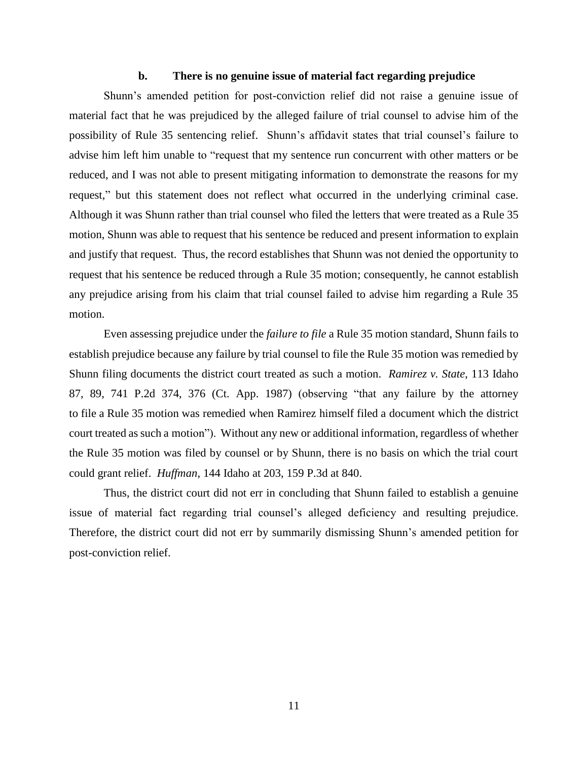### **b. There is no genuine issue of material fact regarding prejudice**

Shunn's amended petition for post-conviction relief did not raise a genuine issue of material fact that he was prejudiced by the alleged failure of trial counsel to advise him of the possibility of Rule 35 sentencing relief. Shunn's affidavit states that trial counsel's failure to advise him left him unable to "request that my sentence run concurrent with other matters or be reduced, and I was not able to present mitigating information to demonstrate the reasons for my request," but this statement does not reflect what occurred in the underlying criminal case. Although it was Shunn rather than trial counsel who filed the letters that were treated as a Rule 35 motion, Shunn was able to request that his sentence be reduced and present information to explain and justify that request. Thus, the record establishes that Shunn was not denied the opportunity to request that his sentence be reduced through a Rule 35 motion; consequently, he cannot establish any prejudice arising from his claim that trial counsel failed to advise him regarding a Rule 35 motion.

Even assessing prejudice under the *failure to file* a Rule 35 motion standard, Shunn fails to establish prejudice because any failure by trial counsel to file the Rule 35 motion was remedied by Shunn filing documents the district court treated as such a motion. *Ramirez v. State*, 113 Idaho 87, 89, 741 P.2d 374, 376 (Ct. App. 1987) (observing "that any failure by the attorney to file a Rule 35 motion was remedied when Ramirez himself filed a document which the district court treated as such a motion"). Without any new or additional information, regardless of whether the Rule 35 motion was filed by counsel or by Shunn, there is no basis on which the trial court could grant relief. *Huffman*, 144 Idaho at 203, 159 P.3d at 840.

Thus, the district court did not err in concluding that Shunn failed to establish a genuine issue of material fact regarding trial counsel's alleged deficiency and resulting prejudice. Therefore, the district court did not err by summarily dismissing Shunn's amended petition for post-conviction relief.